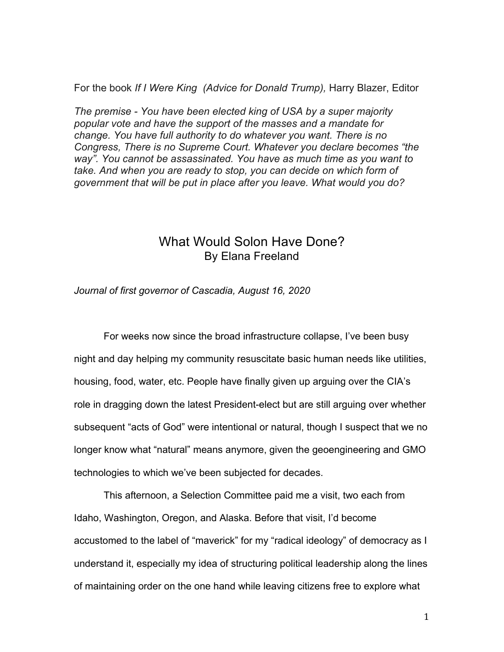For the book *If I Were King (Advice for Donald Trump),* Harry Blazer, Editor

*The premise - You have been elected king of USA by a super majority popular vote and have the support of the masses and a mandate for change. You have full authority to do whatever you want. There is no Congress, There is no Supreme Court. Whatever you declare becomes "the way". You cannot be assassinated. You have as much time as you want to take. And when you are ready to stop, you can decide on which form of government that will be put in place after you leave. What would you do?*

## What Would Solon Have Done? By Elana Freeland

*Journal of first governor of Cascadia, August 16, 2020*

For weeks now since the broad infrastructure collapse, I've been busy night and day helping my community resuscitate basic human needs like utilities, housing, food, water, etc. People have finally given up arguing over the CIA's role in dragging down the latest President-elect but are still arguing over whether subsequent "acts of God" were intentional or natural, though I suspect that we no longer know what "natural" means anymore, given the geoengineering and GMO technologies to which we've been subjected for decades.

This afternoon, a Selection Committee paid me a visit, two each from Idaho, Washington, Oregon, and Alaska. Before that visit, I'd become accustomed to the label of "maverick" for my "radical ideology" of democracy as I understand it, especially my idea of structuring political leadership along the lines of maintaining order on the one hand while leaving citizens free to explore what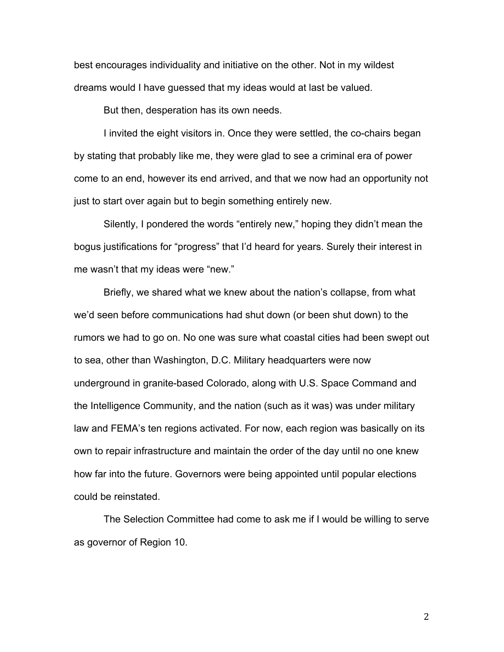best encourages individuality and initiative on the other. Not in my wildest dreams would I have guessed that my ideas would at last be valued.

But then, desperation has its own needs.

I invited the eight visitors in. Once they were settled, the co-chairs began by stating that probably like me, they were glad to see a criminal era of power come to an end, however its end arrived, and that we now had an opportunity not just to start over again but to begin something entirely new.

Silently, I pondered the words "entirely new," hoping they didn't mean the bogus justifications for "progress" that I'd heard for years. Surely their interest in me wasn't that my ideas were "new."

Briefly, we shared what we knew about the nation's collapse, from what we'd seen before communications had shut down (or been shut down) to the rumors we had to go on. No one was sure what coastal cities had been swept out to sea, other than Washington, D.C. Military headquarters were now underground in granite-based Colorado, along with U.S. Space Command and the Intelligence Community, and the nation (such as it was) was under military law and FEMA's ten regions activated. For now, each region was basically on its own to repair infrastructure and maintain the order of the day until no one knew how far into the future. Governors were being appointed until popular elections could be reinstated.

The Selection Committee had come to ask me if I would be willing to serve as governor of Region 10.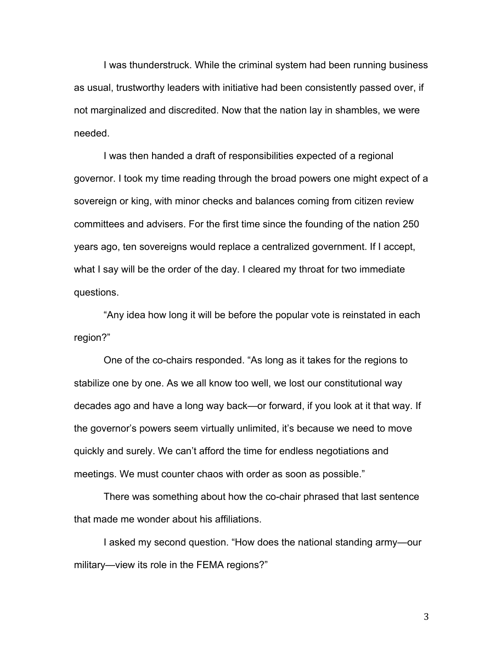I was thunderstruck. While the criminal system had been running business as usual, trustworthy leaders with initiative had been consistently passed over, if not marginalized and discredited. Now that the nation lay in shambles, we were needed.

I was then handed a draft of responsibilities expected of a regional governor. I took my time reading through the broad powers one might expect of a sovereign or king, with minor checks and balances coming from citizen review committees and advisers. For the first time since the founding of the nation 250 years ago, ten sovereigns would replace a centralized government. If I accept, what I say will be the order of the day. I cleared my throat for two immediate questions.

"Any idea how long it will be before the popular vote is reinstated in each region?"

One of the co-chairs responded. "As long as it takes for the regions to stabilize one by one. As we all know too well, we lost our constitutional way decades ago and have a long way back—or forward, if you look at it that way. If the governor's powers seem virtually unlimited, it's because we need to move quickly and surely. We can't afford the time for endless negotiations and meetings. We must counter chaos with order as soon as possible."

There was something about how the co-chair phrased that last sentence that made me wonder about his affiliations.

I asked my second question. "How does the national standing army—our military—view its role in the FEMA regions?"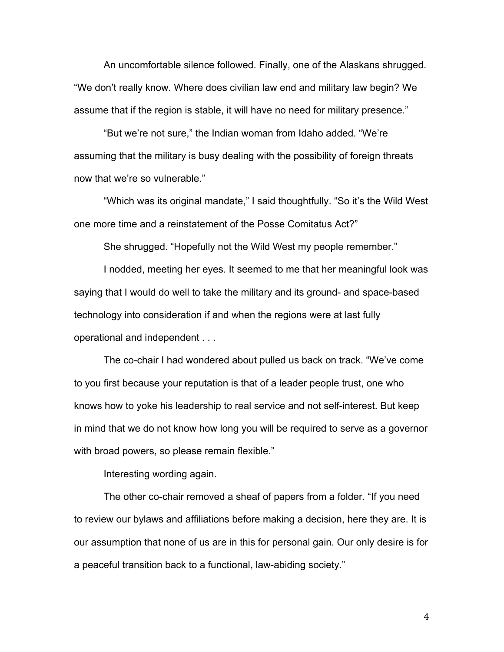An uncomfortable silence followed. Finally, one of the Alaskans shrugged. "We don't really know. Where does civilian law end and military law begin? We assume that if the region is stable, it will have no need for military presence."

"But we're not sure," the Indian woman from Idaho added. "We're assuming that the military is busy dealing with the possibility of foreign threats now that we're so vulnerable."

"Which was its original mandate," I said thoughtfully. "So it's the Wild West one more time and a reinstatement of the Posse Comitatus Act?"

She shrugged. "Hopefully not the Wild West my people remember."

I nodded, meeting her eyes. It seemed to me that her meaningful look was saying that I would do well to take the military and its ground- and space-based technology into consideration if and when the regions were at last fully operational and independent . . .

The co-chair I had wondered about pulled us back on track. "We've come to you first because your reputation is that of a leader people trust, one who knows how to yoke his leadership to real service and not self-interest. But keep in mind that we do not know how long you will be required to serve as a governor with broad powers, so please remain flexible."

Interesting wording again.

The other co-chair removed a sheaf of papers from a folder. "If you need to review our bylaws and affiliations before making a decision, here they are. It is our assumption that none of us are in this for personal gain. Our only desire is for a peaceful transition back to a functional, law-abiding society."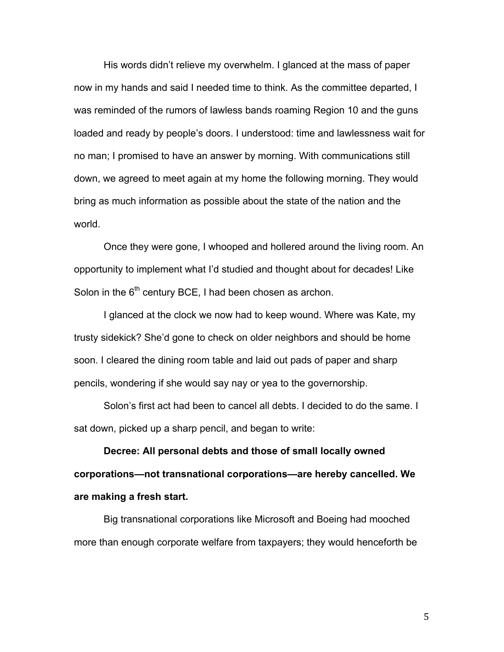His words didn't relieve my overwhelm. I glanced at the mass of paper now in my hands and said I needed time to think. As the committee departed, I was reminded of the rumors of lawless bands roaming Region 10 and the guns loaded and ready by people's doors. I understood: time and lawlessness wait for no man; I promised to have an answer by morning. With communications still down, we agreed to meet again at my home the following morning. They would bring as much information as possible about the state of the nation and the world.

Once they were gone, I whooped and hollered around the living room. An opportunity to implement what I'd studied and thought about for decades! Like Solon in the  $6<sup>th</sup>$  century BCE, I had been chosen as archon.

I glanced at the clock we now had to keep wound. Where was Kate, my trusty sidekick? She'd gone to check on older neighbors and should be home soon. I cleared the dining room table and laid out pads of paper and sharp pencils, wondering if she would say nay or yea to the governorship.

Solon's first act had been to cancel all debts. I decided to do the same. I sat down, picked up a sharp pencil, and began to write:

**Decree: All personal debts and those of small locally owned corporations—not transnational corporations—are hereby cancelled. We are making a fresh start.**

Big transnational corporations like Microsoft and Boeing had mooched more than enough corporate welfare from taxpayers; they would henceforth be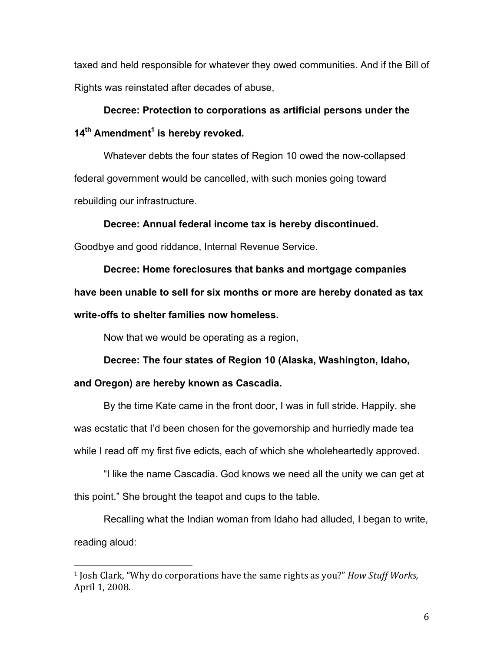taxed and held responsible for whatever they owed communities. And if the Bill of Rights was reinstated after decades of abuse,

**Decree: Protection to corporations as artificial persons under the 14th Amendment<sup>1</sup> is hereby revoked.**

Whatever debts the four states of Region 10 owed the now-collapsed federal government would be cancelled, with such monies going toward rebuilding our infrastructure.

**Decree: Annual federal income tax is hereby discontinued.**

Goodbye and good riddance, Internal Revenue Service.

**Decree: Home foreclosures that banks and mortgage companies have been unable to sell for six months or more are hereby donated as tax write-offs to shelter families now homeless.**

Now that we would be operating as a region,

 

**Decree: The four states of Region 10 (Alaska, Washington, Idaho, and Oregon) are hereby known as Cascadia.**

By the time Kate came in the front door, I was in full stride. Happily, she was ecstatic that I'd been chosen for the governorship and hurriedly made tea while I read off my first five edicts, each of which she wholeheartedly approved.

"I like the name Cascadia. God knows we need all the unity we can get at this point." She brought the teapot and cups to the table.

Recalling what the Indian woman from Idaho had alluded, I began to write, reading aloud:

<sup>&</sup>lt;sup>1</sup> Josh Clark, "Why do corporations have the same rights as you?" *How Stuff Works*, April 1, 2008.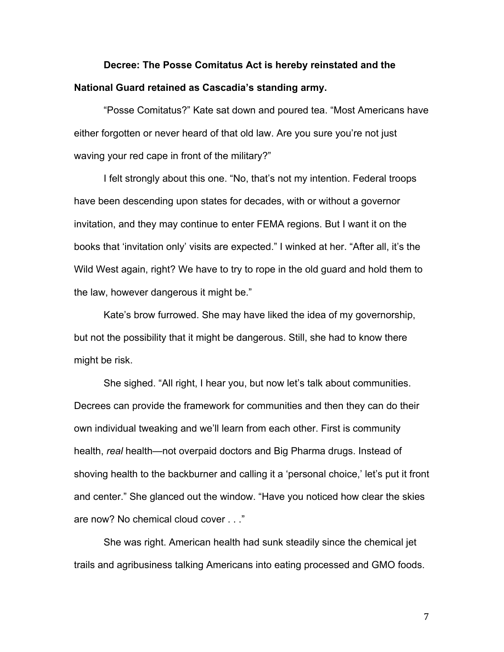## **Decree: The Posse Comitatus Act is hereby reinstated and the National Guard retained as Cascadia's standing army.**

"Posse Comitatus?" Kate sat down and poured tea. "Most Americans have either forgotten or never heard of that old law. Are you sure you're not just waving your red cape in front of the military?"

I felt strongly about this one. "No, that's not my intention. Federal troops have been descending upon states for decades, with or without a governor invitation, and they may continue to enter FEMA regions. But I want it on the books that 'invitation only' visits are expected." I winked at her. "After all, it's the Wild West again, right? We have to try to rope in the old guard and hold them to the law, however dangerous it might be."

Kate's brow furrowed. She may have liked the idea of my governorship, but not the possibility that it might be dangerous. Still, she had to know there might be risk.

She sighed. "All right, I hear you, but now let's talk about communities. Decrees can provide the framework for communities and then they can do their own individual tweaking and we'll learn from each other. First is community health, *real* health—not overpaid doctors and Big Pharma drugs. Instead of shoving health to the backburner and calling it a 'personal choice,' let's put it front and center." She glanced out the window. "Have you noticed how clear the skies are now? No chemical cloud cover . . ."

She was right. American health had sunk steadily since the chemical jet trails and agribusiness talking Americans into eating processed and GMO foods.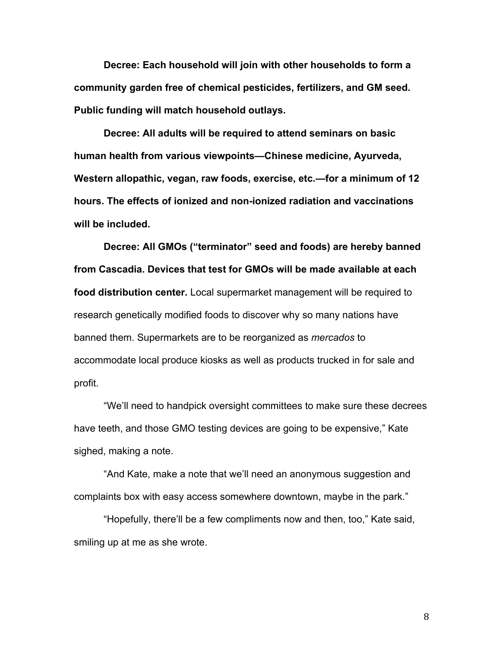**Decree: Each household will join with other households to form a community garden free of chemical pesticides, fertilizers, and GM seed. Public funding will match household outlays.**

**Decree: All adults will be required to attend seminars on basic human health from various viewpoints—Chinese medicine, Ayurveda, Western allopathic, vegan, raw foods, exercise, etc.—for a minimum of 12 hours. The effects of ionized and non-ionized radiation and vaccinations will be included.**

**Decree: All GMOs ("terminator" seed and foods) are hereby banned from Cascadia. Devices that test for GMOs will be made available at each food distribution center.** Local supermarket management will be required to research genetically modified foods to discover why so many nations have banned them. Supermarkets are to be reorganized as *mercados* to accommodate local produce kiosks as well as products trucked in for sale and profit.

"We'll need to handpick oversight committees to make sure these decrees have teeth, and those GMO testing devices are going to be expensive," Kate sighed, making a note.

"And Kate, make a note that we'll need an anonymous suggestion and complaints box with easy access somewhere downtown, maybe in the park."

"Hopefully, there'll be a few compliments now and then, too," Kate said, smiling up at me as she wrote.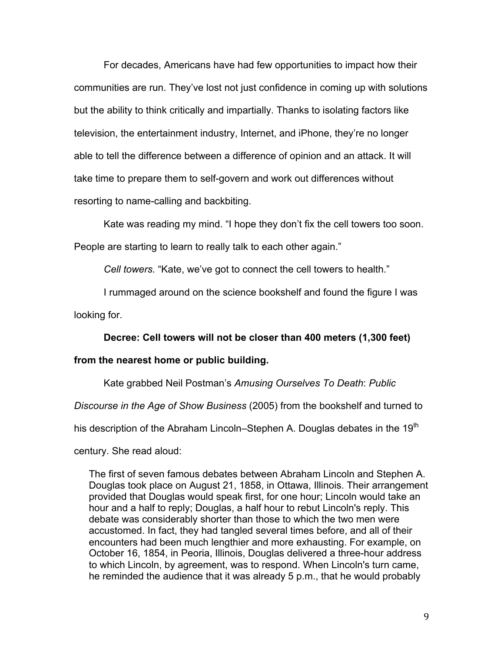For decades, Americans have had few opportunities to impact how their communities are run. They've lost not just confidence in coming up with solutions but the ability to think critically and impartially. Thanks to isolating factors like television, the entertainment industry, Internet, and iPhone, they're no longer able to tell the difference between a difference of opinion and an attack. It will take time to prepare them to self-govern and work out differences without resorting to name-calling and backbiting.

Kate was reading my mind. "I hope they don't fix the cell towers too soon. People are starting to learn to really talk to each other again."

*Cell towers.* "Kate, we've got to connect the cell towers to health."

I rummaged around on the science bookshelf and found the figure I was

looking for.

**Decree: Cell towers will not be closer than 400 meters (1,300 feet)** 

## **from the nearest home or public building.**

Kate grabbed Neil Postman's *Amusing Ourselves To Death*: *Public* 

*Discourse in the Age of Show Business* (2005) from the bookshelf and turned to

his description of the Abraham Lincoln–Stephen A. Douglas debates in the 19<sup>th</sup>

century. She read aloud:

The first of seven famous debates between Abraham Lincoln and Stephen A. Douglas took place on August 21, 1858, in Ottawa, Illinois. Their arrangement provided that Douglas would speak first, for one hour; Lincoln would take an hour and a half to reply; Douglas, a half hour to rebut Lincoln's reply. This debate was considerably shorter than those to which the two men were accustomed. In fact, they had tangled several times before, and all of their encounters had been much lengthier and more exhausting. For example, on October 16, 1854, in Peoria, Illinois, Douglas delivered a three-hour address to which Lincoln, by agreement, was to respond. When Lincoln's turn came, he reminded the audience that it was already 5 p.m., that he would probably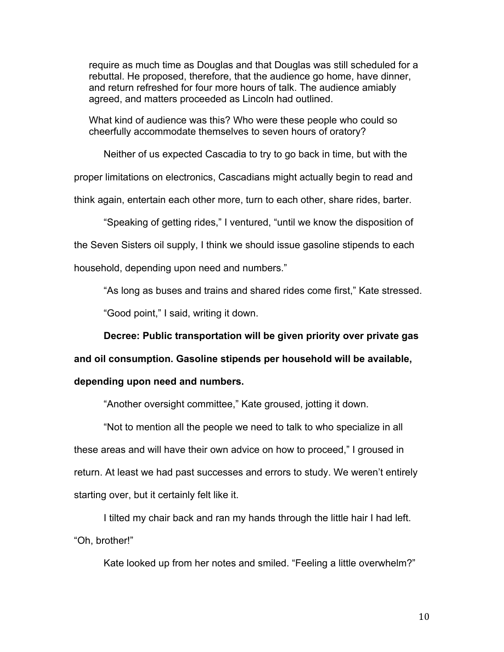require as much time as Douglas and that Douglas was still scheduled for a rebuttal. He proposed, therefore, that the audience go home, have dinner, and return refreshed for four more hours of talk. The audience amiably agreed, and matters proceeded as Lincoln had outlined.

What kind of audience was this? Who were these people who could so cheerfully accommodate themselves to seven hours of oratory?

Neither of us expected Cascadia to try to go back in time, but with the proper limitations on electronics, Cascadians might actually begin to read and think again, entertain each other more, turn to each other, share rides, barter.

"Speaking of getting rides," I ventured, "until we know the disposition of the Seven Sisters oil supply, I think we should issue gasoline stipends to each household, depending upon need and numbers."

"As long as buses and trains and shared rides come first," Kate stressed.

"Good point," I said, writing it down.

**Decree: Public transportation will be given priority over private gas** 

**and oil consumption. Gasoline stipends per household will be available,** 

## **depending upon need and numbers.**

"Another oversight committee," Kate groused, jotting it down.

"Not to mention all the people we need to talk to who specialize in all these areas and will have their own advice on how to proceed," I groused in return. At least we had past successes and errors to study. We weren't entirely starting over, but it certainly felt like it.

I tilted my chair back and ran my hands through the little hair I had left. "Oh, brother!"

Kate looked up from her notes and smiled. "Feeling a little overwhelm?"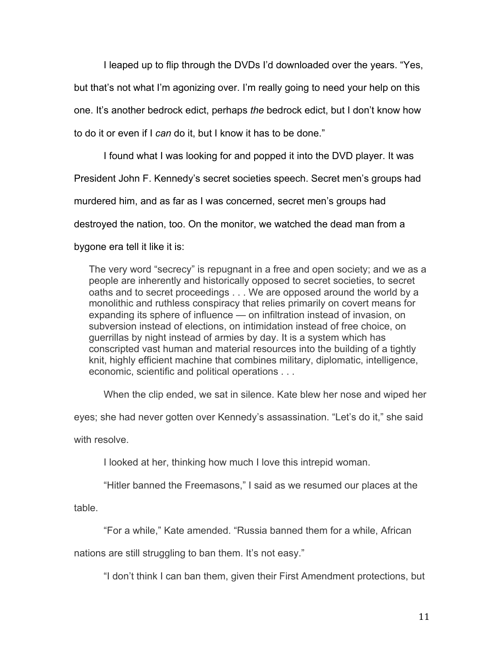I leaped up to flip through the DVDs I'd downloaded over the years. "Yes, but that's not what I'm agonizing over. I'm really going to need your help on this one. It's another bedrock edict, perhaps *the* bedrock edict, but I don't know how to do it or even if I *can* do it, but I know it has to be done."

I found what I was looking for and popped it into the DVD player. It was President John F. Kennedy's secret societies speech. Secret men's groups had murdered him, and as far as I was concerned, secret men's groups had destroyed the nation, too. On the monitor, we watched the dead man from a

bygone era tell it like it is:

The very word "secrecy" is repugnant in a free and open society; and we as a people are inherently and historically opposed to secret societies, to secret oaths and to secret proceedings . . . We are opposed around the world by a monolithic and ruthless conspiracy that relies primarily on covert means for expanding its sphere of influence — on infiltration instead of invasion, on subversion instead of elections, on intimidation instead of free choice, on guerrillas by night instead of armies by day. It is a system which has conscripted vast human and material resources into the building of a tightly knit, highly efficient machine that combines military, diplomatic, intelligence, economic, scientific and political operations . . .

When the clip ended, we sat in silence. Kate blew her nose and wiped her

eyes; she had never gotten over Kennedy's assassination. "Let's do it," she said

with resolve.

I looked at her, thinking how much I love this intrepid woman.

"Hitler banned the Freemasons," I said as we resumed our places at the

table.

"For a while," Kate amended. "Russia banned them for a while, African

nations are still struggling to ban them. It's not easy."

"I don't think I can ban them, given their First Amendment protections, but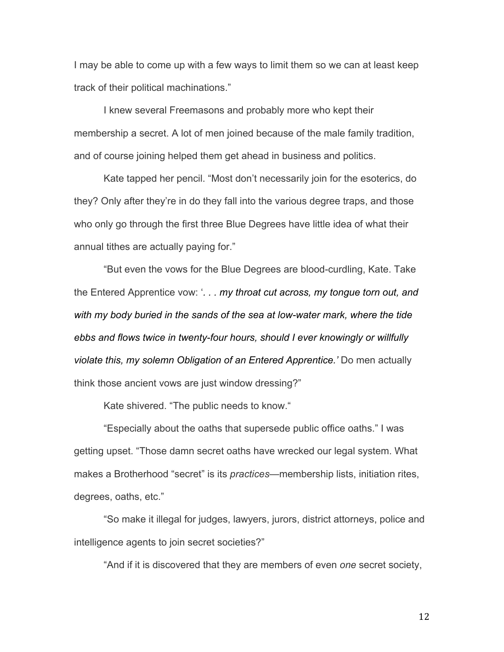I may be able to come up with a few ways to limit them so we can at least keep track of their political machinations."

I knew several Freemasons and probably more who kept their membership a secret. A lot of men joined because of the male family tradition, and of course joining helped them get ahead in business and politics.

Kate tapped her pencil. "Most don't necessarily join for the esoterics, do they? Only after they're in do they fall into the various degree traps, and those who only go through the first three Blue Degrees have little idea of what their annual tithes are actually paying for."

"But even the vows for the Blue Degrees are blood-curdling, Kate. Take the Entered Apprentice vow: '*. . . my throat cut across, my tongue torn out, and with my body buried in the sands of the sea at low-water mark, where the tide ebbs and flows twice in twenty-four hours, should I ever knowingly or willfully violate this, my solemn Obligation of an Entered Apprentice.'* Do men actually think those ancient vows are just window dressing?"

Kate shivered. "The public needs to know."

"Especially about the oaths that supersede public office oaths." I was getting upset. "Those damn secret oaths have wrecked our legal system. What makes a Brotherhood "secret" is its *practices*—membership lists, initiation rites, degrees, oaths, etc."

"So make it illegal for judges, lawyers, jurors, district attorneys, police and intelligence agents to join secret societies?"

"And if it is discovered that they are members of even *one* secret society,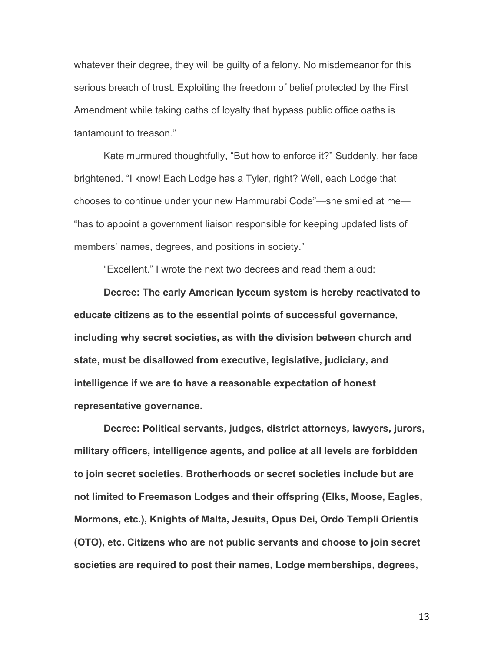whatever their degree, they will be guilty of a felony. No misdemeanor for this serious breach of trust. Exploiting the freedom of belief protected by the First Amendment while taking oaths of loyalty that bypass public office oaths is tantamount to treason."

Kate murmured thoughtfully, "But how to enforce it?" Suddenly, her face brightened. "I know! Each Lodge has a Tyler, right? Well, each Lodge that chooses to continue under your new Hammurabi Code"—she smiled at me— "has to appoint a government liaison responsible for keeping updated lists of members' names, degrees, and positions in society."

"Excellent." I wrote the next two decrees and read them aloud:

**Decree: The early American lyceum system is hereby reactivated to educate citizens as to the essential points of successful governance, including why secret societies, as with the division between church and state, must be disallowed from executive, legislative, judiciary, and intelligence if we are to have a reasonable expectation of honest representative governance.**

**Decree: Political servants, judges, district attorneys, lawyers, jurors, military officers, intelligence agents, and police at all levels are forbidden to join secret societies. Brotherhoods or secret societies include but are not limited to Freemason Lodges and their offspring (Elks, Moose, Eagles, Mormons, etc.), Knights of Malta, Jesuits, Opus Dei, Ordo Templi Orientis (OTO), etc. Citizens who are not public servants and choose to join secret societies are required to post their names, Lodge memberships, degrees,**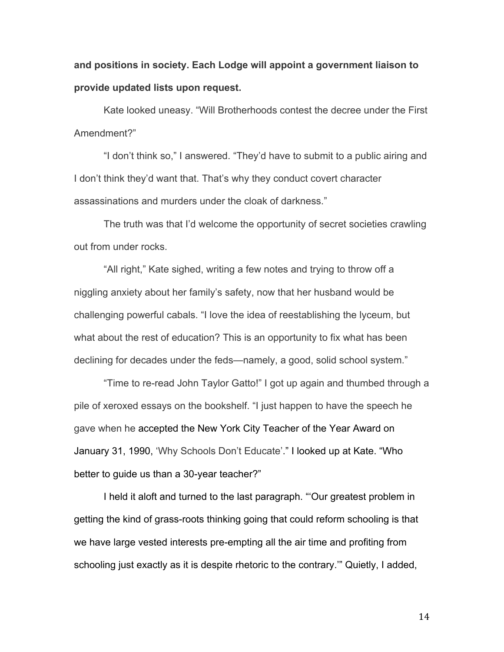**and positions in society. Each Lodge will appoint a government liaison to provide updated lists upon request.**

Kate looked uneasy. "Will Brotherhoods contest the decree under the First Amendment?"

"I don't think so," I answered. "They'd have to submit to a public airing and I don't think they'd want that. That's why they conduct covert character assassinations and murders under the cloak of darkness."

The truth was that I'd welcome the opportunity of secret societies crawling out from under rocks.

"All right," Kate sighed, writing a few notes and trying to throw off a niggling anxiety about her family's safety, now that her husband would be challenging powerful cabals. "I love the idea of reestablishing the lyceum, but what about the rest of education? This is an opportunity to fix what has been declining for decades under the feds—namely, a good, solid school system."

"Time to re-read John Taylor Gatto!" I got up again and thumbed through a pile of xeroxed essays on the bookshelf. "I just happen to have the speech he gave when he accepted the New York City Teacher of the Year Award on January 31, 1990, 'Why Schools Don't Educate'." I looked up at Kate. "Who better to guide us than a 30-year teacher?"

I held it aloft and turned to the last paragraph. "'Our greatest problem in getting the kind of grass-roots thinking going that could reform schooling is that we have large vested interests pre-empting all the air time and profiting from schooling just exactly as it is despite rhetoric to the contrary.'" Quietly, I added,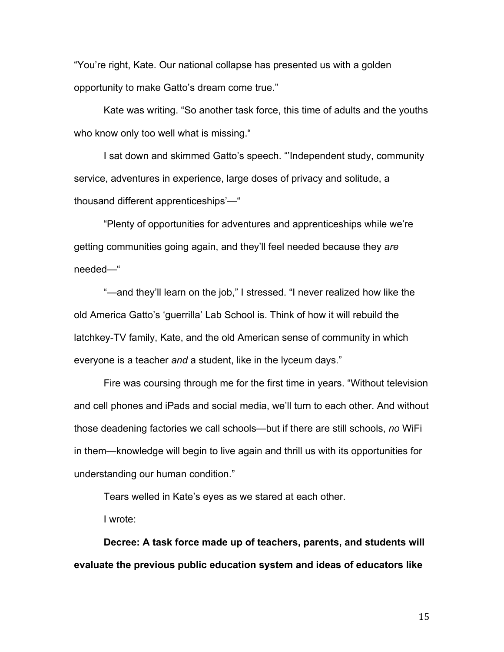"You're right, Kate. Our national collapse has presented us with a golden opportunity to make Gatto's dream come true."

Kate was writing. "So another task force, this time of adults and the youths who know only too well what is missing."

I sat down and skimmed Gatto's speech. "'Independent study, community service, adventures in experience, large doses of privacy and solitude, a thousand different apprenticeships'—"

"Plenty of opportunities for adventures and apprenticeships while we're getting communities going again, and they'll feel needed because they *are* needed—"

"—and they'll learn on the job," I stressed. "I never realized how like the old America Gatto's 'guerrilla' Lab School is. Think of how it will rebuild the latchkey-TV family, Kate, and the old American sense of community in which everyone is a teacher *and* a student, like in the lyceum days."

Fire was coursing through me for the first time in years. "Without television and cell phones and iPads and social media, we'll turn to each other. And without those deadening factories we call schools—but if there are still schools, *no* WiFi in them—knowledge will begin to live again and thrill us with its opportunities for understanding our human condition."

Tears welled in Kate's eyes as we stared at each other.

I wrote:

**Decree: A task force made up of teachers, parents, and students will evaluate the previous public education system and ideas of educators like**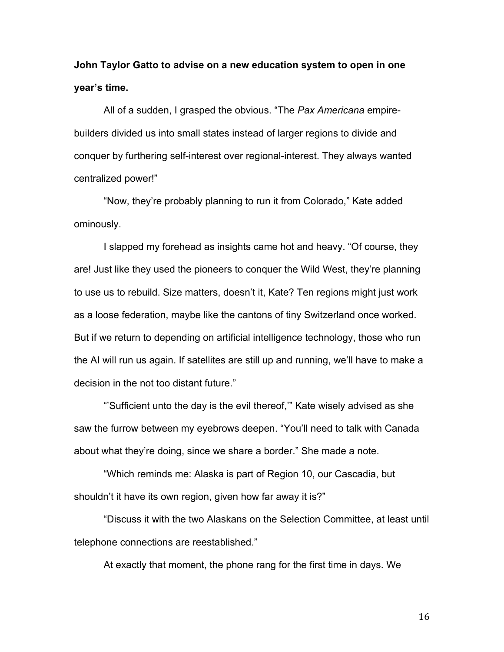**John Taylor Gatto to advise on a new education system to open in one year's time.** 

All of a sudden, I grasped the obvious. "The *Pax Americana* empirebuilders divided us into small states instead of larger regions to divide and conquer by furthering self-interest over regional-interest. They always wanted centralized power!"

"Now, they're probably planning to run it from Colorado," Kate added ominously.

I slapped my forehead as insights came hot and heavy. "Of course, they are! Just like they used the pioneers to conquer the Wild West, they're planning to use us to rebuild. Size matters, doesn't it, Kate? Ten regions might just work as a loose federation, maybe like the cantons of tiny Switzerland once worked. But if we return to depending on artificial intelligence technology, those who run the AI will run us again. If satellites are still up and running, we'll have to make a decision in the not too distant future."

"'Sufficient unto the day is the evil thereof,'" Kate wisely advised as she saw the furrow between my eyebrows deepen. "You'll need to talk with Canada about what they're doing, since we share a border." She made a note.

"Which reminds me: Alaska is part of Region 10, our Cascadia, but shouldn't it have its own region, given how far away it is?"

"Discuss it with the two Alaskans on the Selection Committee, at least until telephone connections are reestablished."

At exactly that moment, the phone rang for the first time in days. We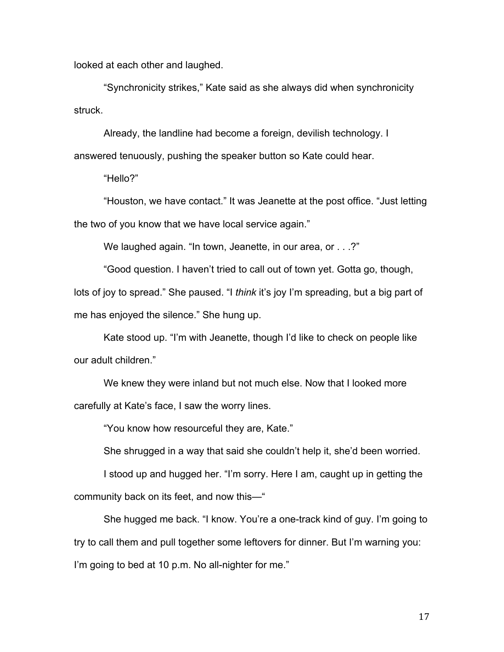looked at each other and laughed.

"Synchronicity strikes," Kate said as she always did when synchronicity struck.

Already, the landline had become a foreign, devilish technology. I

answered tenuously, pushing the speaker button so Kate could hear.

"Hello?"

"Houston, we have contact." It was Jeanette at the post office. "Just letting the two of you know that we have local service again."

We laughed again. "In town, Jeanette, in our area, or . . .?"

"Good question. I haven't tried to call out of town yet. Gotta go, though, lots of joy to spread." She paused. "I *think* it's joy I'm spreading, but a big part of me has enjoyed the silence." She hung up.

Kate stood up. "I'm with Jeanette, though I'd like to check on people like our adult children."

We knew they were inland but not much else. Now that I looked more carefully at Kate's face, I saw the worry lines.

"You know how resourceful they are, Kate."

She shrugged in a way that said she couldn't help it, she'd been worried.

I stood up and hugged her. "I'm sorry. Here I am, caught up in getting the community back on its feet, and now this—"

She hugged me back. "I know. You're a one-track kind of guy. I'm going to try to call them and pull together some leftovers for dinner. But I'm warning you: I'm going to bed at 10 p.m. No all-nighter for me."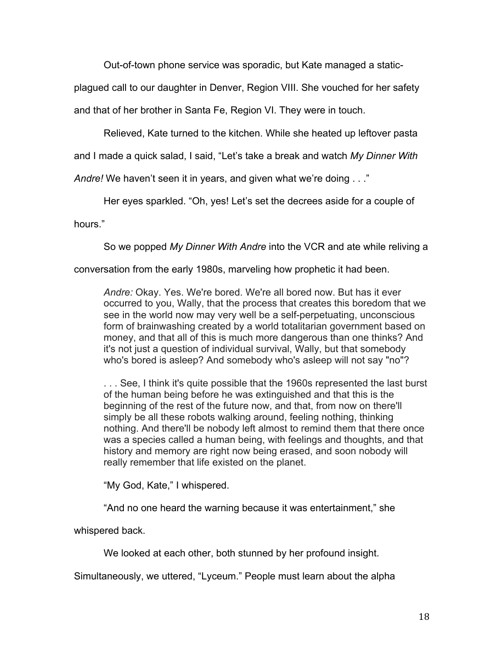Out-of-town phone service was sporadic, but Kate managed a static-

plagued call to our daughter in Denver, Region VIII. She vouched for her safety

and that of her brother in Santa Fe, Region VI. They were in touch.

Relieved, Kate turned to the kitchen. While she heated up leftover pasta

and I made a quick salad, I said, "Let's take a break and watch *My Dinner With* 

*Andre!* We haven't seen it in years, and given what we're doing . . ."

Her eyes sparkled. "Oh, yes! Let's set the decrees aside for a couple of

hours."

So we popped *My Dinner With Andre* into the VCR and ate while reliving a

conversation from the early 1980s, marveling how prophetic it had been.

*Andre:* Okay. Yes. We're bored. We're all bored now. But has it ever occurred to you, Wally, that the process that creates this boredom that we see in the world now may very well be a self-perpetuating, unconscious form of brainwashing created by a world totalitarian government based on money, and that all of this is much more dangerous than one thinks? And it's not just a question of individual survival, Wally, but that somebody who's bored is asleep? And somebody who's asleep will not say "no"?

. . . See, I think it's quite possible that the 1960s represented the last burst of the human being before he was extinguished and that this is the beginning of the rest of the future now, and that, from now on there'll simply be all these robots walking around, feeling nothing, thinking nothing. And there'll be nobody left almost to remind them that there once was a species called a human being, with feelings and thoughts, and that history and memory are right now being erased, and soon nobody will really remember that life existed on the planet.

"My God, Kate," I whispered.

"And no one heard the warning because it was entertainment," she

whispered back.

We looked at each other, both stunned by her profound insight.

Simultaneously, we uttered, "Lyceum." People must learn about the alpha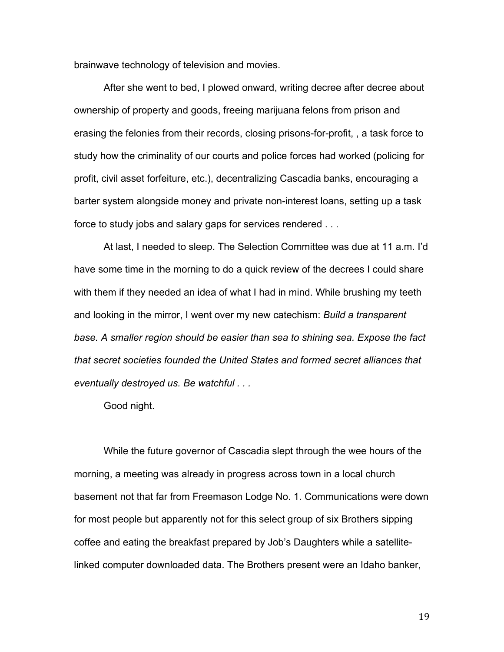brainwave technology of television and movies.

After she went to bed, I plowed onward, writing decree after decree about ownership of property and goods, freeing marijuana felons from prison and erasing the felonies from their records, closing prisons-for-profit, , a task force to study how the criminality of our courts and police forces had worked (policing for profit, civil asset forfeiture, etc.), decentralizing Cascadia banks, encouraging a barter system alongside money and private non-interest loans, setting up a task force to study jobs and salary gaps for services rendered . . .

At last, I needed to sleep. The Selection Committee was due at 11 a.m. I'd have some time in the morning to do a quick review of the decrees I could share with them if they needed an idea of what I had in mind. While brushing my teeth and looking in the mirror, I went over my new catechism: *Build a transparent base. A smaller region should be easier than sea to shining sea. Expose the fact that secret societies founded the United States and formed secret alliances that eventually destroyed us. Be watchful . . .*

Good night.

While the future governor of Cascadia slept through the wee hours of the morning, a meeting was already in progress across town in a local church basement not that far from Freemason Lodge No. 1. Communications were down for most people but apparently not for this select group of six Brothers sipping coffee and eating the breakfast prepared by Job's Daughters while a satellitelinked computer downloaded data. The Brothers present were an Idaho banker,